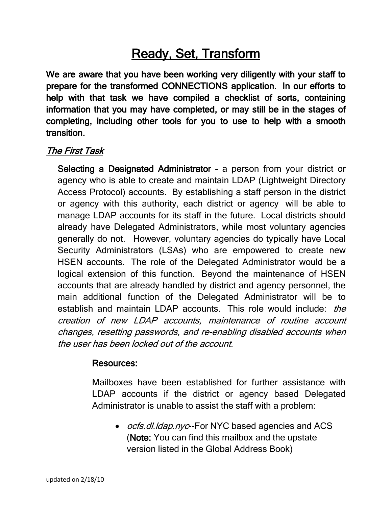# Ready, Set, Transform

We are aware that you have been working very diligently with your staff to prepare for the transformed CONNECTIONS application. In our efforts to help with that task we have compiled a checklist of sorts, containing information that you may have completed, or may still be in the stages of completing, including other tools for you to use to help with a smooth transition.

## The First Task

Selecting a Designated Administrator – a person from your district or agency who is able to create and maintain LDAP (Lightweight Directory Access Protocol) accounts. By establishing a staff person in the district or agency with this authority, each district or agency will be able to manage LDAP accounts for its staff in the future. Local districts should already have Delegated Administrators, while most voluntary agencies generally do not. However, voluntary agencies do typically have Local Security Administrators (LSAs) who are empowered to create new HSEN accounts. The role of the Delegated Administrator would be a logical extension of this function. Beyond the maintenance of HSEN accounts that are already handled by district and agency personnel, the main additional function of the Delegated Administrator will be to establish and maintain LDAP accounts. This role would include: *the* creation of new LDAP accounts, maintenance of routine account changes, resetting passwords, and re-enabling disabled accounts when the user has been locked out of the account.

#### Resources:

Mailboxes have been established for further assistance with LDAP accounts if the district or agency based Delegated Administrator is unable to assist the staff with a problem:

• *ocfs.dl.ldap.nyc*--For NYC based agencies and ACS (Note: You can find this mailbox and the upstate version listed in the Global Address Book)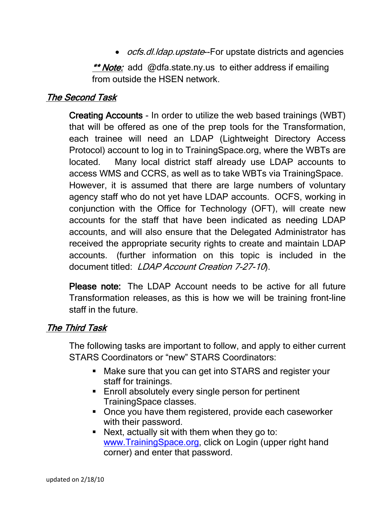• *ocfs.dl.ldap.upstate*--For upstate districts and agencies

\*\* Note: add @dfa.state.ny.us to either address if emailing from outside the HSEN network.

## The Second Task

Creating Accounts - In order to utilize the web based trainings (WBT) that will be offered as one of the prep tools for the Transformation, each trainee will need an LDAP (Lightweight Directory Access Protocol) account to log in to TrainingSpace.org, where the WBTs are located. Many local district staff already use LDAP accounts to access WMS and CCRS, as well as to take WBTs via TrainingSpace. However, it is assumed that there are large numbers of voluntary agency staff who do not yet have LDAP accounts. OCFS, working in conjunction with the Office for Technology (OFT), will create new accounts for the staff that have been indicated as needing LDAP accounts, and will also ensure that the Delegated Administrator has received the appropriate security rights to create and maintain LDAP accounts. (further information on this topic is included in the document titled: LDAP Account Creation 7-27-10.

Please note: The LDAP Account needs to be active for all future Transformation releases, as this is how we will be training front-line staff in the future.

#### The Third Task

The following tasks are important to follow, and apply to either current STARS Coordinators or "new" STARS Coordinators:

- **Make sure that you can get into STARS and register your** staff for trainings.
- **Enroll absolutely every single person for pertinent** TrainingSpace classes.
- Once you have them registered, provide each caseworker with their password.
- Next, actually sit with them when they go to: [www.TrainingSpace.org,](http://www.trainingspace.org/) click on Login (upper right hand corner) and enter that password.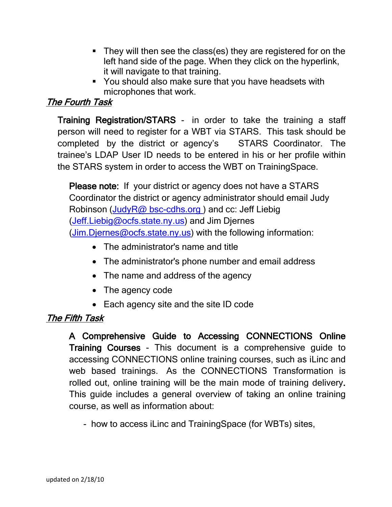- **They will then see the class(es) they are registered for on the** left hand side of the page. When they click on the hyperlink, it will navigate to that training.
- **You should also make sure that you have headsets with** microphones that work.

#### The Fourth Task

Training Registration/STARS - in order to take the training a staff person will need to register for a WBT via STARS. This task should be completed by the district or agency's STARS Coordinator. The trainee's LDAP User ID needs to be entered in his or her profile within the STARS system in order to access the WBT on TrainingSpace.

Please note: If your district or agency does not have a STARS Coordinator the district or agency administrator should email Judy Robinson [\(JudyR@ bsc-cdhs.org \)](mailto:JudyR@BSC-CDHS.ORG) and cc: Jeff Liebig [\(Jeff.Liebig@ocfs.state.ny.us\)](mailto:Jeff.Liebig@ocfs.state.ny.us) and Jim Djernes [\(Jim.Djernes@ocfs.state.ny.us\)](mailto:Jim.Djernes@ocfs.state.ny.us)) with the following information:

- The administrator's name and title
- The administrator's phone number and email address
- The name and address of the agency
- The agency code
- Each agency site and the site ID code

## The Fifth Task

A Comprehensive Guide to Accessing CONNECTIONS Online Training Courses - This document is a comprehensive guide to accessing CONNECTIONS online training courses, such as iLinc and web based trainings. As the CONNECTIONS Transformation is rolled out, online training will be the main mode of training delivery. This guide includes a general overview of taking an online training course, as well as information about:

- how to access iLinc and TrainingSpace (for WBTs) sites,